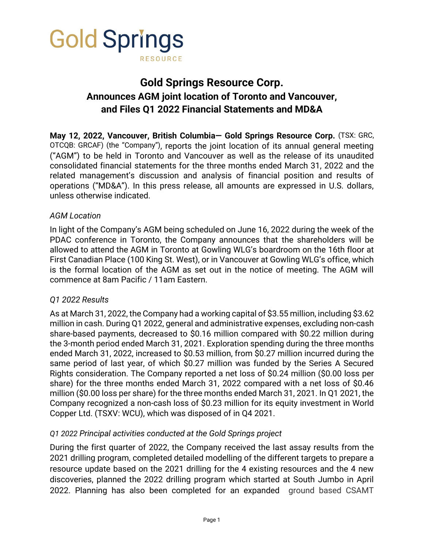

# **Gold Springs Resource Corp. Announces AGM joint location of Toronto and Vancouver, and Files Q1 2022 Financial Statements and MD&A**

**May 12, 2022, Vancouver, British Columbia— Gold Springs Resource Corp.** (TSX: GRC, OTCQB: GRCAF) (the "Company"), reports the joint location of its annual general meeting ("AGM") to be held in Toronto and Vancouver as well as the release of its unaudited consolidated financial statements for the three months ended March 31, 2022 and the related management's discussion and analysis of financial position and results of operations ("MD&A"). In this press release, all amounts are expressed in U.S. dollars, unless otherwise indicated.

## *AGM Location*

In light of the Company's AGM being scheduled on June 16, 2022 during the week of the PDAC conference in Toronto, the Company announces that the shareholders will be allowed to attend the AGM in Toronto at Gowling WLG's boardroom on the 16th floor at First Canadian Place (100 King St. West), or in Vancouver at Gowling WLG's office, which is the formal location of the AGM as set out in the notice of meeting. The AGM will commence at 8am Pacific / 11am Eastern.

## *Q1 2022 Results*

As at March 31, 2022, the Company had a working capital of \$3.55 million, including \$3.62 million in cash. During Q1 2022, general and administrative expenses, excluding non-cash share-based payments, decreased to \$0.16 million compared with \$0.22 million during the 3-month period ended March 31, 2021. Exploration spending during the three months ended March 31, 2022, increased to \$0.53 million, from \$0.27 million incurred during the same period of last year, of which \$0.27 million was funded by the Series A Secured Rights consideration. The Company reported a net loss of \$0.24 million (\$0.00 loss per share) for the three months ended March 31, 2022 compared with a net loss of \$0.46 million (\$0.00 loss per share) for the three months ended March 31, 2021. In Q1 2021, the Company recognized a non-cash loss of \$0.23 million for its equity investment in World Copper Ltd. (TSXV: WCU), which was disposed of in Q4 2021.

## *Q1 2022 Principal activities conducted at the Gold Springs project*

During the first quarter of 2022, the Company received the last assay results from the 2021 drilling program, completed detailed modelling of the different targets to prepare a resource update based on the 2021 drilling for the 4 existing resources and the 4 new discoveries, planned the 2022 drilling program which started at South Jumbo in April 2022. Planning has also been completed for an expanded ground based CSAMT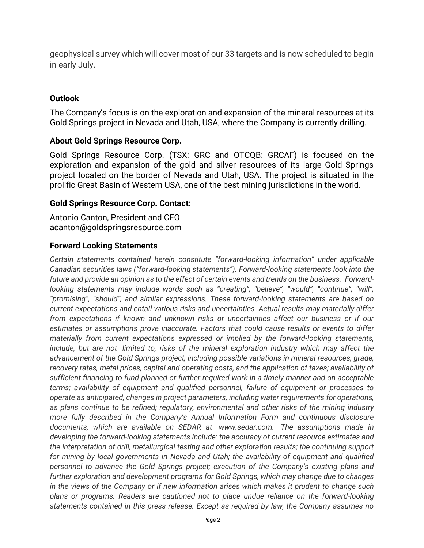geophysical survey which will cover most of our 33 targets and is now scheduled to begin in early July.

## **Outlook**

The Company's focus is on the exploration and expansion of the mineral resources at its Gold Springs project in Nevada and Utah, USA, where the Company is currently drilling.

## **About Gold Springs Resource Corp.**

Gold Springs Resource Corp. (TSX: GRC and OTCQB: GRCAF) is focused on the exploration and expansion of the gold and silver resources of its large Gold Springs project located on the border of Nevada and Utah, USA. The project is situated in the prolific Great Basin of Western USA, one of the best mining jurisdictions in the world.

#### **Gold Springs Resource Corp. Contact:**

Antonio Canton, President and CEO [acanton@goldspringsresource.com](mailto:acanton@goldspringsresource.com)

## **Forward Looking Statements**

*Certain statements contained herein constitute "forward-looking information" under applicable Canadian securities laws ("forward-looking statements"). Forward-looking statements look into the future and provide an opinion as to the effect of certain events and trends on the business. Forwardlooking statements may include words such as "creating", "believe", "would", "continue", "will", "promising", "should", and similar expressions. These forward-looking statements are based on current expectations and entail various risks and uncertainties. Actual results may materially differ from expectations if known and unknown risks or uncertainties affect our business or if our estimates or assumptions prove inaccurate. Factors that could cause results or events to differ materially from current expectations expressed or implied by the forward-looking statements, include, but are not limited to, risks of the mineral exploration industry which may affect the advancement of the Gold Springs project, including possible variations in mineral resources, grade, recovery rates, metal prices, capital and operating costs, and the application of taxes; availability of sufficient financing to fund planned or further required work in a timely manner and on acceptable terms; availability of equipment and qualified personnel, failure of equipment or processes to operate as anticipated, changes in project parameters, including water requirements for operations, as plans continue to be refined; regulatory, environmental and other risks of the mining industry more fully described in the Company's Annual Information Form and continuous disclosure documents, which are available on SEDAR at www.sedar.com. The assumptions made in developing the forward-looking statements include: the accuracy of current resource estimates and the interpretation of drill, metallurgical testing and other exploration results; the continuing support for mining by local governments in Nevada and Utah; the availability of equipment and qualified personnel to advance the Gold Springs project; execution of the Company's existing plans and further exploration and development programs for Gold Springs, which may change due to changes in the views of the Company or if new information arises which makes it prudent to change such plans or programs. Readers are cautioned not to place undue reliance on the forward-looking statements contained in this press release. Except as required by law, the Company assumes no*